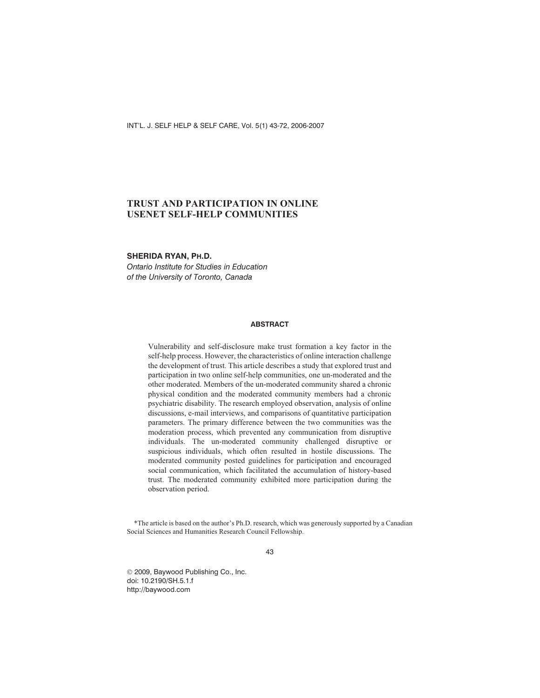INT'L. J. SELF HELP & SELF CARE, Vol. 5(1) 43-72, 2006-2007

# **TRUST AND PARTICIPATION IN ONLINE USENET SELF-HELP COMMUNITIES**

### **SHERIDA RYAN, PH.D.**

*Ontario Institute for Studies in Education of the University of Toronto, Canada*

## **ABSTRACT**

Vulnerability and self-disclosure make trust formation a key factor in the self-help process. However, the characteristics of online interaction challenge the development of trust. This article describes a study that explored trust and participation in two online self-help communities, one un-moderated and the other moderated. Members of the un-moderated community shared a chronic physical condition and the moderated community members had a chronic psychiatric disability. The research employed observation, analysis of online discussions, e-mail interviews, and comparisons of quantitative participation parameters. The primary difference between the two communities was the moderation process, which prevented any communication from disruptive individuals. The un-moderated community challenged disruptive or suspicious individuals, which often resulted in hostile discussions. The moderated community posted guidelines for participation and encouraged social communication, which facilitated the accumulation of history-based trust. The moderated community exhibited more participation during the observation period.

\*The article is based on the author's Ph.D. research, which was generously supported by a Canadian Social Sciences and Humanities Research Council Fellowship.

43

 $© 2009$ , Baywood Publishing Co., Inc. doi: 10.2190/SH.5.1.f http://baywood.com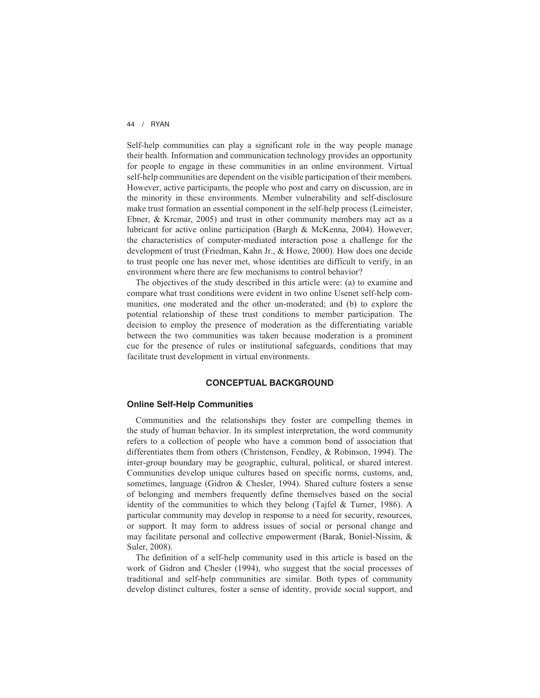Self-help communities can play a significant role in the way people manage their health. Information and communication technology provides an opportunity for people to engage in these communities in an online environment. Virtual self-help communities are dependent on the visible participation of their members. However, active participants, the people who post and carry on discussion, are in the minority in these environments. Member vulnerability and self-disclosure make trust formation an essential component in the self-help process (Leimeister, Ebner, & Krcmar, 2005) and trust in other community members may act as a lubricant for active online participation (Bargh & McKenna, 2004). However, the characteristics of computer-mediated interaction pose a challenge for the development of trust (Friedman, Kahn Jr., & Howe, 2000). How does one decide to trust people one has never met, whose identities are difficult to verify, in an environment where there are few mechanisms to control behavior?

The objectives of the study described in this article were: (a) to examine and compare what trust conditions were evident in two online Usenet self-help communities, one moderated and the other un-moderated; and (b) to explore the potential relationship of these trust conditions to member participation. The decision to employ the presence of moderation as the differentiating variable between the two communities was taken because moderation is a prominent cue for the presence of rules or institutional safeguards, conditions that may facilitate trust development in virtual environments.

### **CONCEPTUAL BACKGROUND**

#### **Online Self-Help Communities**

Communities and the relationships they foster are compelling themes in the study of human behavior. In its simplest interpretation, the word community refers to a collection of people who have a common bond of association that differentiates them from others (Christenson, Fendley, & Robinson, 1994). The inter-group boundary may be geographic, cultural, political, or shared interest. Communities develop unique cultures based on specific norms, customs, and, sometimes, language (Gidron & Chesler, 1994). Shared culture fosters a sense of belonging and members frequently define themselves based on the social identity of the communities to which they belong (Tajfel & Turner, 1986). A particular community may develop in response to a need for security, resources, or support. It may form to address issues of social or personal change and may facilitate personal and collective empowerment (Barak, Boniel-Nissim, & Suler, 2008).

The definition of a self-help community used in this article is based on the work of Gidron and Chesler (1994), who suggest that the social processes of traditional and self-help communities are similar. Both types of community develop distinct cultures, foster a sense of identity, provide social support, and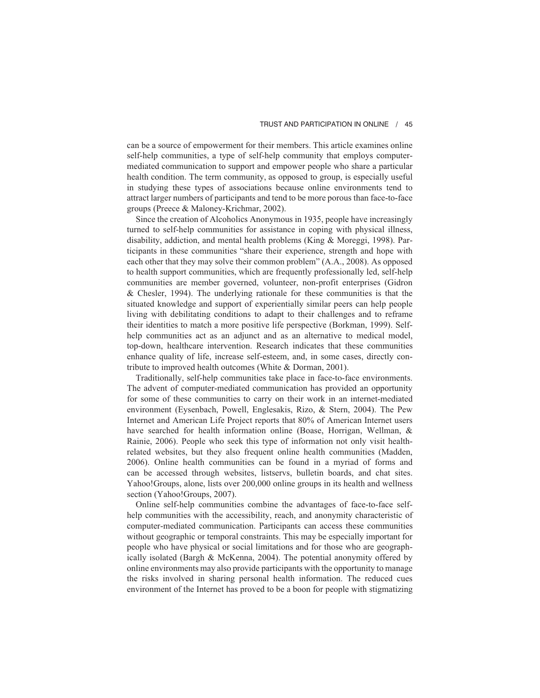can be a source of empowerment for their members. This article examines online self-help communities, a type of self-help community that employs computermediated communication to support and empower people who share a particular health condition. The term community, as opposed to group, is especially useful in studying these types of associations because online environments tend to attract larger numbers of participants and tend to be more porous than face-to-face groups (Preece & Maloney-Krichmar, 2002).

Since the creation of Alcoholics Anonymous in 1935, people have increasingly turned to self-help communities for assistance in coping with physical illness, disability, addiction, and mental health problems (King & Moreggi, 1998). Participants in these communities "share their experience, strength and hope with each other that they may solve their common problem" (A.A., 2008). As opposed to health support communities, which are frequently professionally led, self-help communities are member governed, volunteer, non-profit enterprises (Gidron & Chesler, 1994). The underlying rationale for these communities is that the situated knowledge and support of experientially similar peers can help people living with debilitating conditions to adapt to their challenges and to reframe their identities to match a more positive life perspective (Borkman, 1999). Selfhelp communities act as an adjunct and as an alternative to medical model, top-down, healthcare intervention. Research indicates that these communities enhance quality of life, increase self-esteem, and, in some cases, directly contribute to improved health outcomes (White & Dorman, 2001).

Traditionally, self-help communities take place in face-to-face environments. The advent of computer-mediated communication has provided an opportunity for some of these communities to carry on their work in an internet-mediated environment (Eysenbach, Powell, Englesakis, Rizo, & Stern, 2004). The Pew Internet and American Life Project reports that 80% of American Internet users have searched for health information online (Boase, Horrigan, Wellman, & Rainie, 2006). People who seek this type of information not only visit healthrelated websites, but they also frequent online health communities (Madden, 2006). Online health communities can be found in a myriad of forms and can be accessed through websites, listservs, bulletin boards, and chat sites. Yahoo!Groups, alone, lists over 200,000 online groups in its health and wellness section (Yahoo!Groups, 2007).

Online self-help communities combine the advantages of face-to-face selfhelp communities with the accessibility, reach, and anonymity characteristic of computer-mediated communication. Participants can access these communities without geographic or temporal constraints. This may be especially important for people who have physical or social limitations and for those who are geographically isolated (Bargh & McKenna, 2004). The potential anonymity offered by online environments may also provide participants with the opportunity to manage the risks involved in sharing personal health information. The reduced cues environment of the Internet has proved to be a boon for people with stigmatizing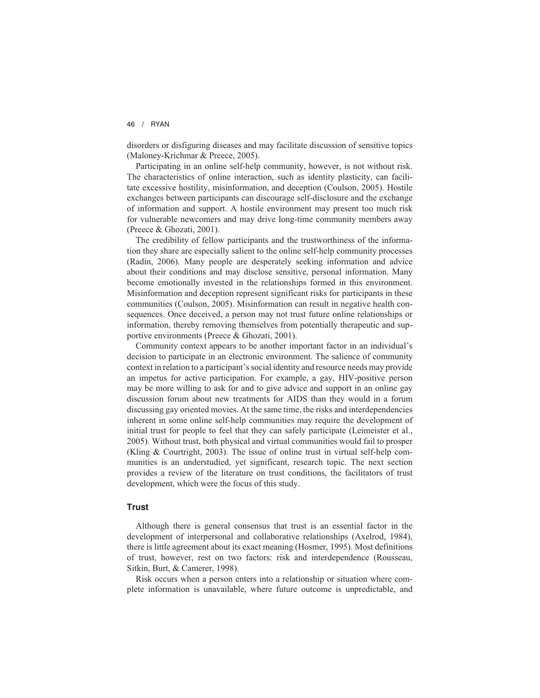disorders or disfiguring diseases and may facilitate discussion of sensitive topics (Maloney-Krichmar & Preece, 2005).

Participating in an online self-help community, however, is not without risk. The characteristics of online interaction, such as identity plasticity, can facilitate excessive hostility, misinformation, and deception (Coulson, 2005). Hostile exchanges between participants can discourage self-disclosure and the exchange of information and support. A hostile environment may present too much risk for vulnerable newcomers and may drive long-time community members away (Preece & Ghozati, 2001).

The credibility of fellow participants and the trustworthiness of the information they share are especially salient to the online self-help community processes (Radin, 2006). Many people are desperately seeking information and advice about their conditions and may disclose sensitive, personal information. Many become emotionally invested in the relationships formed in this environment. Misinformation and deception represent significant risks for participants in these communities (Coulson, 2005). Misinformation can result in negative health consequences. Once deceived, a person may not trust future online relationships or information, thereby removing themselves from potentially therapeutic and supportive environments (Preece & Ghozati, 2001).

Community context appears to be another important factor in an individual's decision to participate in an electronic environment. The salience of community context in relation to a participant's social identity and resource needs may provide an impetus for active participation. For example, a gay, HIV-positive person may be more willing to ask for and to give advice and support in an online gay discussion forum about new treatments for AIDS than they would in a forum discussing gay oriented movies. At the same time, the risks and interdependencies inherent in some online self-help communities may require the development of initial trust for people to feel that they can safely participate (Leimeister et al., 2005). Without trust, both physical and virtual communities would fail to prosper (Kling & Courtright, 2003). The issue of online trust in virtual self-help communities is an understudied, yet significant, research topic. The next section provides a review of the literature on trust conditions, the facilitators of trust development, which were the focus of this study.

#### **Trust**

Although there is general consensus that trust is an essential factor in the development of interpersonal and collaborative relationships (Axelrod, 1984), there is little agreement about its exact meaning (Hosmer, 1995). Most definitions of trust, however, rest on two factors: risk and interdependence (Rousseau, Sitkin, Burt, & Camerer, 1998).

Risk occurs when a person enters into a relationship or situation where complete information is unavailable, where future outcome is unpredictable, and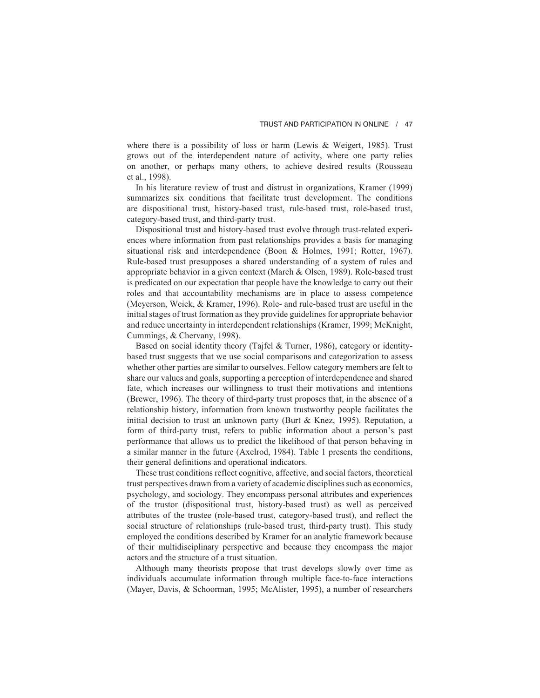where there is a possibility of loss or harm (Lewis & Weigert, 1985). Trust grows out of the interdependent nature of activity, where one party relies on another, or perhaps many others, to achieve desired results (Rousseau et al., 1998).

In his literature review of trust and distrust in organizations, Kramer (1999) summarizes six conditions that facilitate trust development. The conditions are dispositional trust, history-based trust, rule-based trust, role-based trust, category-based trust, and third-party trust.

Dispositional trust and history-based trust evolve through trust-related experiences where information from past relationships provides a basis for managing situational risk and interdependence (Boon & Holmes, 1991; Rotter, 1967). Rule-based trust presupposes a shared understanding of a system of rules and appropriate behavior in a given context (March & Olsen, 1989). Role-based trust is predicated on our expectation that people have the knowledge to carry out their roles and that accountability mechanisms are in place to assess competence (Meyerson, Weick, & Kramer, 1996). Role- and rule-based trust are useful in the initial stages of trust formation as they provide guidelines for appropriate behavior and reduce uncertainty in interdependent relationships (Kramer, 1999; McKnight, Cummings, & Chervany, 1998).

Based on social identity theory (Tajfel & Turner, 1986), category or identitybased trust suggests that we use social comparisons and categorization to assess whether other parties are similar to ourselves. Fellow category members are felt to share our values and goals, supporting a perception of interdependence and shared fate, which increases our willingness to trust their motivations and intentions (Brewer, 1996). The theory of third-party trust proposes that, in the absence of a relationship history, information from known trustworthy people facilitates the initial decision to trust an unknown party (Burt & Knez, 1995). Reputation, a form of third-party trust, refers to public information about a person's past performance that allows us to predict the likelihood of that person behaving in a similar manner in the future (Axelrod, 1984). Table 1 presents the conditions, their general definitions and operational indicators.

These trust conditions reflect cognitive, affective, and social factors, theoretical trust perspectives drawn from a variety of academic disciplines such as economics, psychology, and sociology. They encompass personal attributes and experiences of the trustor (dispositional trust, history-based trust) as well as perceived attributes of the trustee (role-based trust, category-based trust), and reflect the social structure of relationships (rule-based trust, third-party trust). This study employed the conditions described by Kramer for an analytic framework because of their multidisciplinary perspective and because they encompass the major actors and the structure of a trust situation.

Although many theorists propose that trust develops slowly over time as individuals accumulate information through multiple face-to-face interactions (Mayer, Davis, & Schoorman, 1995; McAlister, 1995), a number of researchers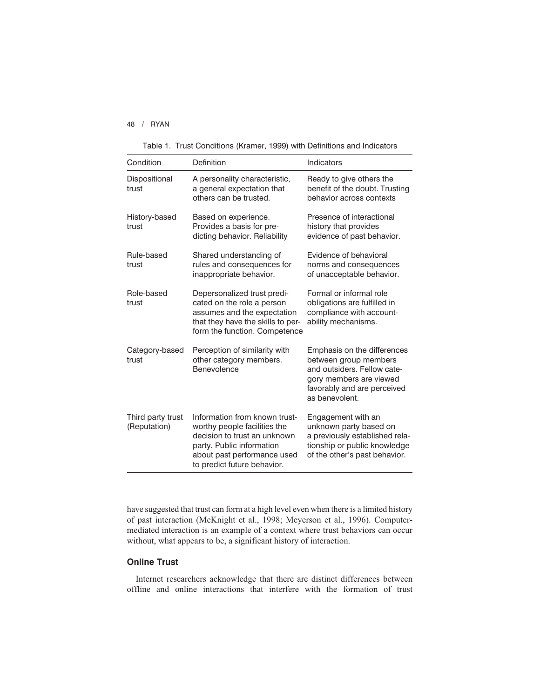|  |  | Table 1. Trust Conditions (Kramer, 1999) with Definitions and Indicators |  |  |  |  |  |  |
|--|--|--------------------------------------------------------------------------|--|--|--|--|--|--|
|--|--|--------------------------------------------------------------------------|--|--|--|--|--|--|

| Condition                         | Definition                                                                                                                                                                               | Indicators                                                                                                                                                      |  |  |
|-----------------------------------|------------------------------------------------------------------------------------------------------------------------------------------------------------------------------------------|-----------------------------------------------------------------------------------------------------------------------------------------------------------------|--|--|
| Dispositional<br>trust            | A personality characteristic,<br>a general expectation that<br>others can be trusted.                                                                                                    | Ready to give others the<br>benefit of the doubt. Trusting<br>behavior across contexts                                                                          |  |  |
| History-based<br>trust            | Based on experience.<br>Provides a basis for pre-<br>dicting behavior. Reliability                                                                                                       | Presence of interactional<br>history that provides<br>evidence of past behavior.                                                                                |  |  |
| Rule-based<br>trust               | Shared understanding of<br>rules and consequences for<br>inappropriate behavior.                                                                                                         | Evidence of behavioral<br>norms and consequences<br>of unacceptable behavior.                                                                                   |  |  |
| Role-based<br>trust               | Depersonalized trust predi-<br>cated on the role a person<br>assumes and the expectation<br>that they have the skills to per-<br>form the function. Competence                           | Formal or informal role<br>obligations are fulfilled in<br>compliance with account-<br>ability mechanisms.                                                      |  |  |
| Category-based<br>trust           | Perception of similarity with<br>other category members.<br>Benevolence                                                                                                                  | Emphasis on the differences<br>between group members<br>and outsiders. Fellow cate-<br>gory members are viewed<br>favorably and are perceived<br>as benevolent. |  |  |
| Third party trust<br>(Reputation) | Information from known trust-<br>worthy people facilities the<br>decision to trust an unknown<br>party. Public information<br>about past performance used<br>to predict future behavior. | Engagement with an<br>unknown party based on<br>a previously established rela-<br>tionship or public knowledge<br>of the other's past behavior.                 |  |  |

have suggested that trust can form at a high level even when there is a limited history of past interaction (McKnight et al., 1998; Meyerson et al., 1996). Computermediated interaction is an example of a context where trust behaviors can occur without, what appears to be, a significant history of interaction.

# **Online Trust**

Internet researchers acknowledge that there are distinct differences between offline and online interactions that interfere with the formation of trust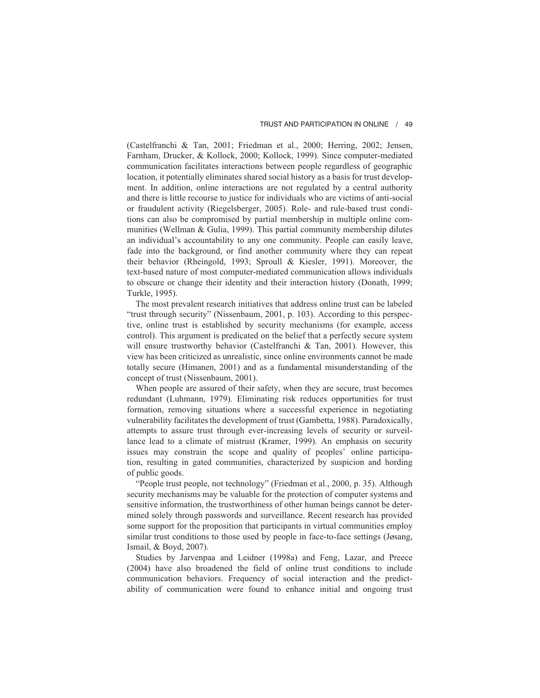(Castelfranchi & Tan, 2001; Friedman et al., 2000; Herring, 2002; Jensen, Farnham, Drucker, & Kollock, 2000; Kollock, 1999). Since computer-mediated communication facilitates interactions between people regardless of geographic location, it potentially eliminates shared social history as a basis for trust development. In addition, online interactions are not regulated by a central authority and there is little recourse to justice for individuals who are victims of anti-social or fraudulent activity (Riegelsberger, 2005). Role- and rule-based trust conditions can also be compromised by partial membership in multiple online communities (Wellman & Gulia, 1999). This partial community membership dilutes an individual's accountability to any one community. People can easily leave, fade into the background, or find another community where they can repeat their behavior (Rheingold, 1993; Sproull & Kiesler, 1991). Moreover, the text-based nature of most computer-mediated communication allows individuals to obscure or change their identity and their interaction history (Donath, 1999; Turkle, 1995).

The most prevalent research initiatives that address online trust can be labeled "trust through security" (Nissenbaum, 2001, p. 103). According to this perspective, online trust is established by security mechanisms (for example, access control). This argument is predicated on the belief that a perfectly secure system will ensure trustworthy behavior (Castelfranchi  $\&$  Tan, 2001). However, this view has been criticized as unrealistic, since online environments cannot be made totally secure (Himanen, 2001) and as a fundamental misunderstanding of the concept of trust (Nissenbaum, 2001).

When people are assured of their safety, when they are secure, trust becomes redundant (Luhmann, 1979). Eliminating risk reduces opportunities for trust formation, removing situations where a successful experience in negotiating vulnerability facilitates the development of trust (Gambetta, 1988). Paradoxically, attempts to assure trust through ever-increasing levels of security or surveillance lead to a climate of mistrust (Kramer, 1999). An emphasis on security issues may constrain the scope and quality of peoples' online participation, resulting in gated communities, characterized by suspicion and hording of public goods.

"People trust people, not technology" (Friedman et al., 2000, p. 35). Although security mechanisms may be valuable for the protection of computer systems and sensitive information, the trustworthiness of other human beings cannot be determined solely through passwords and surveillance. Recent research has provided some support for the proposition that participants in virtual communities employ similar trust conditions to those used by people in face-to-face settings (Jøsang, Ismail, & Boyd, 2007).

Studies by Jarvenpaa and Leidner (1998a) and Feng, Lazar, and Preece (2004) have also broadened the field of online trust conditions to include communication behaviors. Frequency of social interaction and the predictability of communication were found to enhance initial and ongoing trust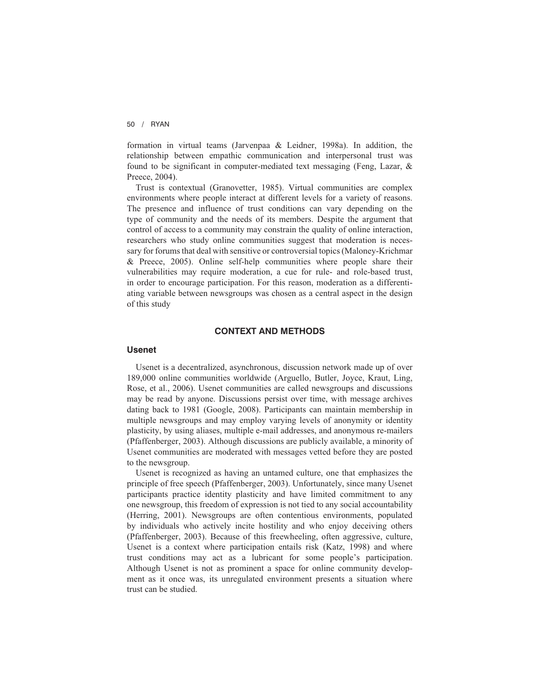formation in virtual teams (Jarvenpaa & Leidner, 1998a). In addition, the relationship between empathic communication and interpersonal trust was found to be significant in computer-mediated text messaging (Feng, Lazar, & Preece, 2004).

Trust is contextual (Granovetter, 1985). Virtual communities are complex environments where people interact at different levels for a variety of reasons. The presence and influence of trust conditions can vary depending on the type of community and the needs of its members. Despite the argument that control of access to a community may constrain the quality of online interaction, researchers who study online communities suggest that moderation is necessary for forums that deal with sensitive or controversial topics (Maloney-Krichmar & Preece, 2005). Online self-help communities where people share their vulnerabilities may require moderation, a cue for rule- and role-based trust, in order to encourage participation. For this reason, moderation as a differentiating variable between newsgroups was chosen as a central aspect in the design of this study

## **CONTEXT AND METHODS**

### **Usenet**

Usenet is a decentralized, asynchronous, discussion network made up of over 189,000 online communities worldwide (Arguello, Butler, Joyce, Kraut, Ling, Rose, et al., 2006). Usenet communities are called newsgroups and discussions may be read by anyone. Discussions persist over time, with message archives dating back to 1981 (Google, 2008). Participants can maintain membership in multiple newsgroups and may employ varying levels of anonymity or identity plasticity, by using aliases, multiple e-mail addresses, and anonymous re-mailers (Pfaffenberger, 2003). Although discussions are publicly available, a minority of Usenet communities are moderated with messages vetted before they are posted to the newsgroup.

Usenet is recognized as having an untamed culture, one that emphasizes the principle of free speech (Pfaffenberger, 2003). Unfortunately, since many Usenet participants practice identity plasticity and have limited commitment to any one newsgroup, this freedom of expression is not tied to any social accountability (Herring, 2001). Newsgroups are often contentious environments, populated by individuals who actively incite hostility and who enjoy deceiving others (Pfaffenberger, 2003). Because of this freewheeling, often aggressive, culture, Usenet is a context where participation entails risk (Katz, 1998) and where trust conditions may act as a lubricant for some people's participation. Although Usenet is not as prominent a space for online community development as it once was, its unregulated environment presents a situation where trust can be studied.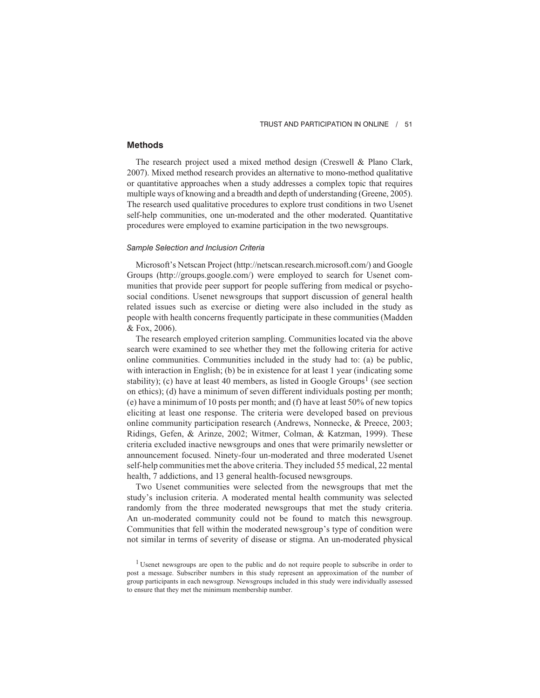# **Methods**

The research project used a mixed method design (Creswell & Plano Clark, 2007). Mixed method research provides an alternative to mono-method qualitative or quantitative approaches when a study addresses a complex topic that requires multiple ways of knowing and a breadth and depth of understanding (Greene, 2005). The research used qualitative procedures to explore trust conditions in two Usenet self-help communities, one un-moderated and the other moderated. Quantitative procedures were employed to examine participation in the two newsgroups.

#### *Sample Selection and Inclusion Criteria*

Microsoft's Netscan Project (http://netscan.research.microsoft.com/) and Google Groups (http://groups.google.com/) were employed to search for Usenet communities that provide peer support for people suffering from medical or psychosocial conditions. Usenet newsgroups that support discussion of general health related issues such as exercise or dieting were also included in the study as people with health concerns frequently participate in these communities (Madden & Fox, 2006).

The research employed criterion sampling. Communities located via the above search were examined to see whether they met the following criteria for active online communities. Communities included in the study had to: (a) be public, with interaction in English; (b) be in existence for at least 1 year (indicating some stability); (c) have at least 40 members, as listed in Google Groups<sup>1</sup> (see section on ethics); (d) have a minimum of seven different individuals posting per month; (e) have a minimum of 10 posts per month; and (f) have at least 50% of new topics eliciting at least one response. The criteria were developed based on previous online community participation research (Andrews, Nonnecke, & Preece, 2003; Ridings, Gefen, & Arinze, 2002; Witmer, Colman, & Katzman, 1999). These criteria excluded inactive newsgroups and ones that were primarily newsletter or announcement focused. Ninety-four un-moderated and three moderated Usenet self-help communities met the above criteria. They included 55 medical, 22 mental health, 7 addictions, and 13 general health-focused newsgroups.

Two Usenet communities were selected from the newsgroups that met the study's inclusion criteria. A moderated mental health community was selected randomly from the three moderated newsgroups that met the study criteria. An un-moderated community could not be found to match this newsgroup. Communities that fell within the moderated newsgroup's type of condition were not similar in terms of severity of disease or stigma. An un-moderated physical

<sup>&</sup>lt;sup>1</sup> Usenet newsgroups are open to the public and do not require people to subscribe in order to post a message. Subscriber numbers in this study represent an approximation of the number of group participants in each newsgroup. Newsgroups included in this study were individually assessed to ensure that they met the minimum membership number.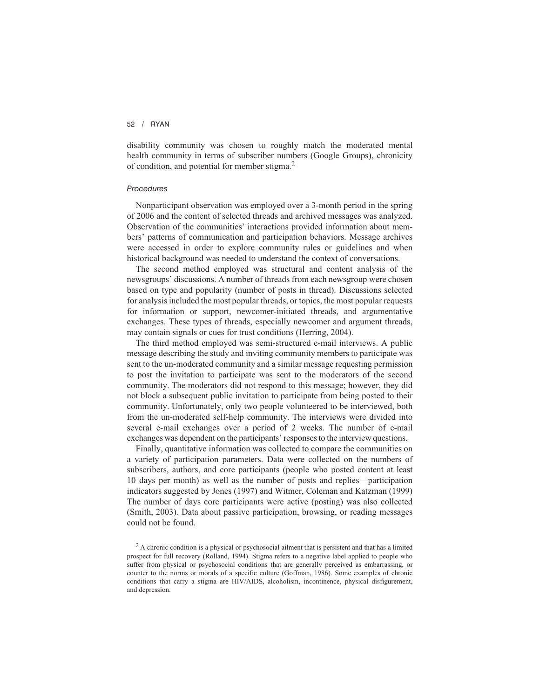disability community was chosen to roughly match the moderated mental health community in terms of subscriber numbers (Google Groups), chronicity of condition, and potential for member stigma.2

#### *Procedures*

Nonparticipant observation was employed over a 3-month period in the spring of 2006 and the content of selected threads and archived messages was analyzed. Observation of the communities' interactions provided information about members' patterns of communication and participation behaviors. Message archives were accessed in order to explore community rules or guidelines and when historical background was needed to understand the context of conversations.

The second method employed was structural and content analysis of the newsgroups' discussions. A number of threads from each newsgroup were chosen based on type and popularity (number of posts in thread). Discussions selected for analysis included the most popular threads, or topics, the most popular requests for information or support, newcomer-initiated threads, and argumentative exchanges. These types of threads, especially newcomer and argument threads, may contain signals or cues for trust conditions (Herring, 2004).

The third method employed was semi-structured e-mail interviews. A public message describing the study and inviting community members to participate was sent to the un-moderated community and a similar message requesting permission to post the invitation to participate was sent to the moderators of the second community. The moderators did not respond to this message; however, they did not block a subsequent public invitation to participate from being posted to their community. Unfortunately, only two people volunteered to be interviewed, both from the un-moderated self-help community. The interviews were divided into several e-mail exchanges over a period of 2 weeks. The number of e-mail exchanges was dependent on the participants' responses to the interview questions.

Finally, quantitative information was collected to compare the communities on a variety of participation parameters. Data were collected on the numbers of subscribers, authors, and core participants (people who posted content at least 10 days per month) as well as the number of posts and replies—participation indicators suggested by Jones (1997) and Witmer, Coleman and Katzman (1999) The number of days core participants were active (posting) was also collected (Smith, 2003). Data about passive participation, browsing, or reading messages could not be found.

<sup>&</sup>lt;sup>2</sup> A chronic condition is a physical or psychosocial ailment that is persistent and that has a limited prospect for full recovery (Rolland, 1994). Stigma refers to a negative label applied to people who suffer from physical or psychosocial conditions that are generally perceived as embarrassing, or counter to the norms or morals of a specific culture (Goffman, 1986). Some examples of chronic conditions that carry a stigma are HIV/AIDS, alcoholism, incontinence, physical disfigurement, and depression.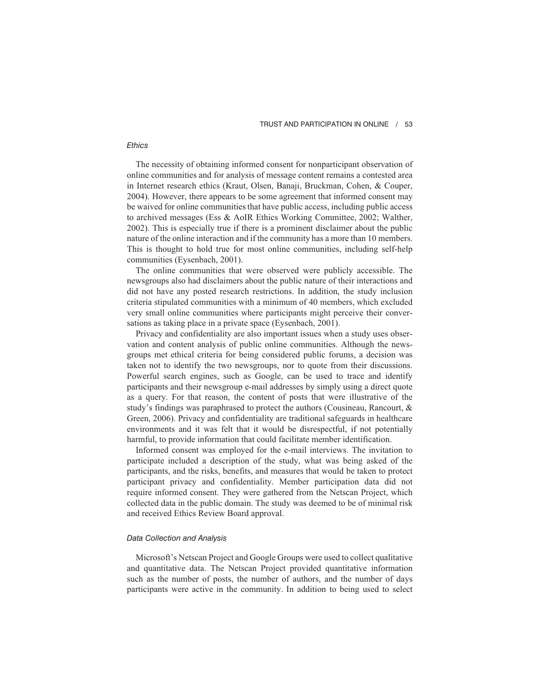#### TRUST AND PARTICIPATION IN ONLINE / 53

# *Ethics*

The necessity of obtaining informed consent for nonparticipant observation of online communities and for analysis of message content remains a contested area in Internet research ethics (Kraut, Olsen, Banaji, Bruckman, Cohen, & Couper, 2004). However, there appears to be some agreement that informed consent may be waived for online communities that have public access, including public access to archived messages (Ess & AoIR Ethics Working Committee, 2002; Walther, 2002). This is especially true if there is a prominent disclaimer about the public nature of the online interaction and if the community has a more than 10 members. This is thought to hold true for most online communities, including self-help communities (Eysenbach, 2001).

The online communities that were observed were publicly accessible. The newsgroups also had disclaimers about the public nature of their interactions and did not have any posted research restrictions. In addition, the study inclusion criteria stipulated communities with a minimum of 40 members, which excluded very small online communities where participants might perceive their conversations as taking place in a private space (Eysenbach, 2001).

Privacy and confidentiality are also important issues when a study uses observation and content analysis of public online communities. Although the newsgroups met ethical criteria for being considered public forums, a decision was taken not to identify the two newsgroups, nor to quote from their discussions. Powerful search engines, such as Google, can be used to trace and identify participants and their newsgroup e-mail addresses by simply using a direct quote as a query. For that reason, the content of posts that were illustrative of the study's findings was paraphrased to protect the authors (Cousineau, Rancourt, & Green, 2006). Privacy and confidentiality are traditional safeguards in healthcare environments and it was felt that it would be disrespectful, if not potentially harmful, to provide information that could facilitate member identification.

Informed consent was employed for the e-mail interviews. The invitation to participate included a description of the study, what was being asked of the participants, and the risks, benefits, and measures that would be taken to protect participant privacy and confidentiality. Member participation data did not require informed consent. They were gathered from the Netscan Project, which collected data in the public domain. The study was deemed to be of minimal risk and received Ethics Review Board approval.

#### *Data Collection and Analysis*

Microsoft's Netscan Project and Google Groups were used to collect qualitative and quantitative data. The Netscan Project provided quantitative information such as the number of posts, the number of authors, and the number of days participants were active in the community. In addition to being used to select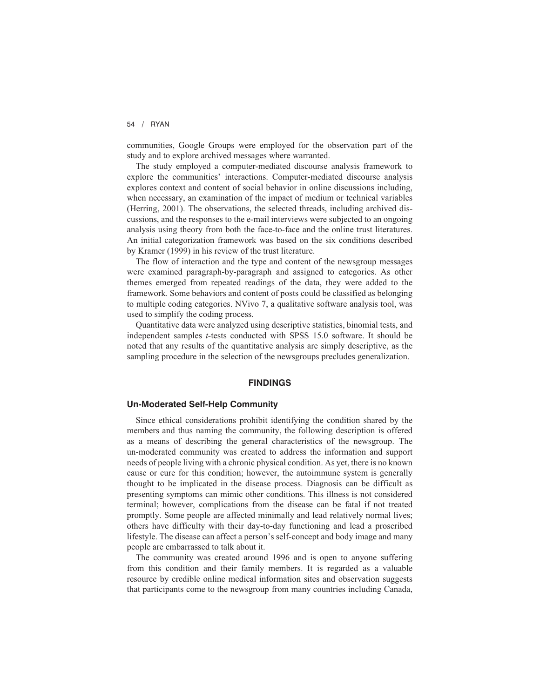communities, Google Groups were employed for the observation part of the study and to explore archived messages where warranted.

The study employed a computer-mediated discourse analysis framework to explore the communities' interactions. Computer-mediated discourse analysis explores context and content of social behavior in online discussions including, when necessary, an examination of the impact of medium or technical variables (Herring, 2001). The observations, the selected threads, including archived discussions, and the responses to the e-mail interviews were subjected to an ongoing analysis using theory from both the face-to-face and the online trust literatures. An initial categorization framework was based on the six conditions described by Kramer (1999) in his review of the trust literature.

The flow of interaction and the type and content of the newsgroup messages were examined paragraph-by-paragraph and assigned to categories. As other themes emerged from repeated readings of the data, they were added to the framework. Some behaviors and content of posts could be classified as belonging to multiple coding categories. NVivo 7, a qualitative software analysis tool, was used to simplify the coding process.

Quantitative data were analyzed using descriptive statistics, binomial tests, and independent samples *t*-tests conducted with SPSS 15.0 software. It should be noted that any results of the quantitative analysis are simply descriptive, as the sampling procedure in the selection of the newsgroups precludes generalization.

## **FINDINGS**

#### **Un-Moderated Self-Help Community**

Since ethical considerations prohibit identifying the condition shared by the members and thus naming the community, the following description is offered as a means of describing the general characteristics of the newsgroup. The un-moderated community was created to address the information and support needs of people living with a chronic physical condition. As yet, there is no known cause or cure for this condition; however, the autoimmune system is generally thought to be implicated in the disease process. Diagnosis can be difficult as presenting symptoms can mimic other conditions. This illness is not considered terminal; however, complications from the disease can be fatal if not treated promptly. Some people are affected minimally and lead relatively normal lives; others have difficulty with their day-to-day functioning and lead a proscribed lifestyle. The disease can affect a person's self-concept and body image and many people are embarrassed to talk about it.

The community was created around 1996 and is open to anyone suffering from this condition and their family members. It is regarded as a valuable resource by credible online medical information sites and observation suggests that participants come to the newsgroup from many countries including Canada,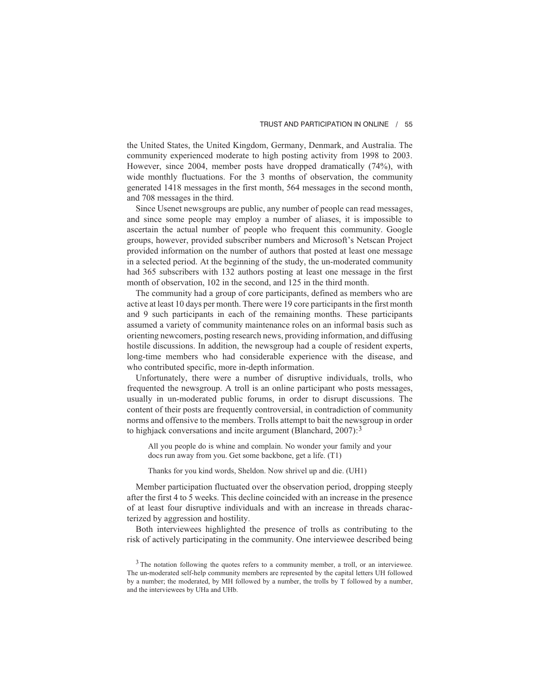the United States, the United Kingdom, Germany, Denmark, and Australia. The community experienced moderate to high posting activity from 1998 to 2003. However, since 2004, member posts have dropped dramatically (74%), with wide monthly fluctuations. For the 3 months of observation, the community generated 1418 messages in the first month, 564 messages in the second month, and 708 messages in the third.

Since Usenet newsgroups are public, any number of people can read messages, and since some people may employ a number of aliases, it is impossible to ascertain the actual number of people who frequent this community. Google groups, however, provided subscriber numbers and Microsoft's Netscan Project provided information on the number of authors that posted at least one message in a selected period. At the beginning of the study, the un-moderated community had 365 subscribers with 132 authors posting at least one message in the first month of observation, 102 in the second, and 125 in the third month.

The community had a group of core participants, defined as members who are active at least 10 days per month. There were 19 core participants in the first month and 9 such participants in each of the remaining months. These participants assumed a variety of community maintenance roles on an informal basis such as orienting newcomers, posting research news, providing information, and diffusing hostile discussions. In addition, the newsgroup had a couple of resident experts, long-time members who had considerable experience with the disease, and who contributed specific, more in-depth information.

Unfortunately, there were a number of disruptive individuals, trolls, who frequented the newsgroup. A troll is an online participant who posts messages, usually in un-moderated public forums, in order to disrupt discussions. The content of their posts are frequently controversial, in contradiction of community norms and offensive to the members. Trolls attempt to bait the newsgroup in order to highjack conversations and incite argument (Blanchard,  $2007$ ):<sup>3</sup>

All you people do is whine and complain. No wonder your family and your docs run away from you. Get some backbone, get a life. (T1)

Thanks for you kind words, Sheldon. Now shrivel up and die. (UH1)

Member participation fluctuated over the observation period, dropping steeply after the first 4 to 5 weeks. This decline coincided with an increase in the presence of at least four disruptive individuals and with an increase in threads characterized by aggression and hostility.

Both interviewees highlighted the presence of trolls as contributing to the risk of actively participating in the community. One interviewee described being

<sup>&</sup>lt;sup>3</sup> The notation following the quotes refers to a community member, a troll, or an interviewee. The un-moderated self-help community members are represented by the capital letters UH followed by a number; the moderated, by MH followed by a number, the trolls by T followed by a number, and the interviewees by UHa and UHb.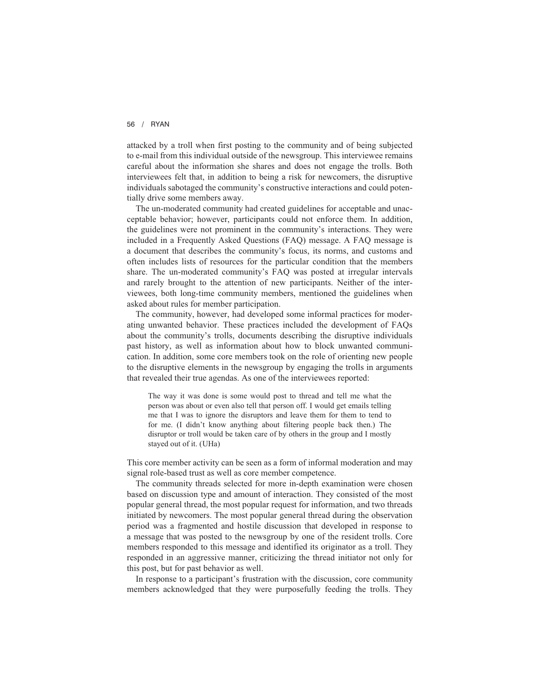attacked by a troll when first posting to the community and of being subjected to e-mail from this individual outside of the newsgroup. This interviewee remains careful about the information she shares and does not engage the trolls. Both interviewees felt that, in addition to being a risk for newcomers, the disruptive individuals sabotaged the community's constructive interactions and could potentially drive some members away.

The un-moderated community had created guidelines for acceptable and unacceptable behavior; however, participants could not enforce them. In addition, the guidelines were not prominent in the community's interactions. They were included in a Frequently Asked Questions (FAQ) message. A FAQ message is a document that describes the community's focus, its norms, and customs and often includes lists of resources for the particular condition that the members share. The un-moderated community's FAQ was posted at irregular intervals and rarely brought to the attention of new participants. Neither of the interviewees, both long-time community members, mentioned the guidelines when asked about rules for member participation.

The community, however, had developed some informal practices for moderating unwanted behavior. These practices included the development of FAQs about the community's trolls, documents describing the disruptive individuals past history, as well as information about how to block unwanted communication. In addition, some core members took on the role of orienting new people to the disruptive elements in the newsgroup by engaging the trolls in arguments that revealed their true agendas. As one of the interviewees reported:

The way it was done is some would post to thread and tell me what the person was about or even also tell that person off. I would get emails telling me that I was to ignore the disruptors and leave them for them to tend to for me. (I didn't know anything about filtering people back then.) The disruptor or troll would be taken care of by others in the group and I mostly stayed out of it. (UHa)

This core member activity can be seen as a form of informal moderation and may signal role-based trust as well as core member competence.

The community threads selected for more in-depth examination were chosen based on discussion type and amount of interaction. They consisted of the most popular general thread, the most popular request for information, and two threads initiated by newcomers. The most popular general thread during the observation period was a fragmented and hostile discussion that developed in response to a message that was posted to the newsgroup by one of the resident trolls. Core members responded to this message and identified its originator as a troll. They responded in an aggressive manner, criticizing the thread initiator not only for this post, but for past behavior as well.

In response to a participant's frustration with the discussion, core community members acknowledged that they were purposefully feeding the trolls. They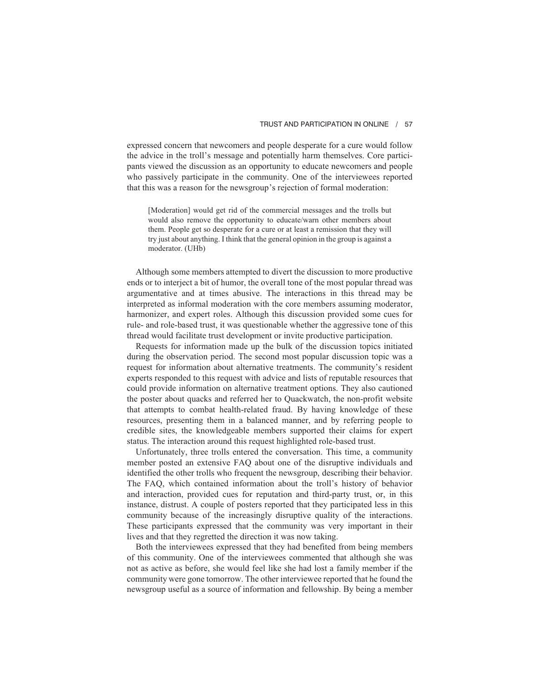expressed concern that newcomers and people desperate for a cure would follow the advice in the troll's message and potentially harm themselves. Core participants viewed the discussion as an opportunity to educate newcomers and people who passively participate in the community. One of the interviewees reported that this was a reason for the newsgroup's rejection of formal moderation:

[Moderation] would get rid of the commercial messages and the trolls but would also remove the opportunity to educate/warn other members about them. People get so desperate for a cure or at least a remission that they will try just about anything. I think that the general opinion in the group is against a moderator. (UHb)

Although some members attempted to divert the discussion to more productive ends or to interject a bit of humor, the overall tone of the most popular thread was argumentative and at times abusive. The interactions in this thread may be interpreted as informal moderation with the core members assuming moderator, harmonizer, and expert roles. Although this discussion provided some cues for rule- and role-based trust, it was questionable whether the aggressive tone of this thread would facilitate trust development or invite productive participation.

Requests for information made up the bulk of the discussion topics initiated during the observation period. The second most popular discussion topic was a request for information about alternative treatments. The community's resident experts responded to this request with advice and lists of reputable resources that could provide information on alternative treatment options. They also cautioned the poster about quacks and referred her to Quackwatch, the non-profit website that attempts to combat health-related fraud. By having knowledge of these resources, presenting them in a balanced manner, and by referring people to credible sites, the knowledgeable members supported their claims for expert status. The interaction around this request highlighted role-based trust.

Unfortunately, three trolls entered the conversation. This time, a community member posted an extensive FAQ about one of the disruptive individuals and identified the other trolls who frequent the newsgroup, describing their behavior. The FAQ, which contained information about the troll's history of behavior and interaction, provided cues for reputation and third-party trust, or, in this instance, distrust. A couple of posters reported that they participated less in this community because of the increasingly disruptive quality of the interactions. These participants expressed that the community was very important in their lives and that they regretted the direction it was now taking.

Both the interviewees expressed that they had benefited from being members of this community. One of the interviewees commented that although she was not as active as before, she would feel like she had lost a family member if the community were gone tomorrow. The other interviewee reported that he found the newsgroup useful as a source of information and fellowship. By being a member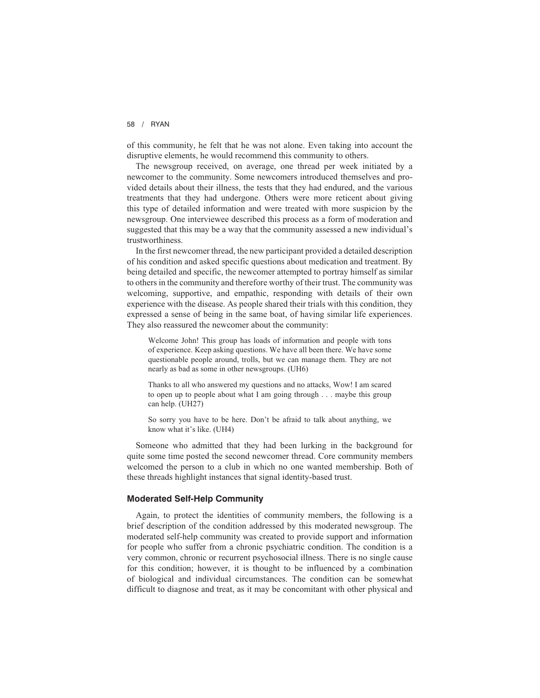of this community, he felt that he was not alone. Even taking into account the disruptive elements, he would recommend this community to others.

The newsgroup received, on average, one thread per week initiated by a newcomer to the community. Some newcomers introduced themselves and provided details about their illness, the tests that they had endured, and the various treatments that they had undergone. Others were more reticent about giving this type of detailed information and were treated with more suspicion by the newsgroup. One interviewee described this process as a form of moderation and suggested that this may be a way that the community assessed a new individual's trustworthiness.

In the first newcomer thread, the new participant provided a detailed description of his condition and asked specific questions about medication and treatment. By being detailed and specific, the newcomer attempted to portray himself as similar to others in the community and therefore worthy of their trust. The community was welcoming, supportive, and empathic, responding with details of their own experience with the disease. As people shared their trials with this condition, they expressed a sense of being in the same boat, of having similar life experiences. They also reassured the newcomer about the community:

Welcome John! This group has loads of information and people with tons of experience. Keep asking questions. We have all been there. We have some questionable people around, trolls, but we can manage them. They are not nearly as bad as some in other newsgroups. (UH6)

Thanks to all who answered my questions and no attacks, Wow! I am scared to open up to people about what I am going through . . . maybe this group can help. (UH27)

So sorry you have to be here. Don't be afraid to talk about anything, we know what it's like. (UH4)

Someone who admitted that they had been lurking in the background for quite some time posted the second newcomer thread. Core community members welcomed the person to a club in which no one wanted membership. Both of these threads highlight instances that signal identity-based trust.

## **Moderated Self-Help Community**

Again, to protect the identities of community members, the following is a brief description of the condition addressed by this moderated newsgroup. The moderated self-help community was created to provide support and information for people who suffer from a chronic psychiatric condition. The condition is a very common, chronic or recurrent psychosocial illness. There is no single cause for this condition; however, it is thought to be influenced by a combination of biological and individual circumstances. The condition can be somewhat difficult to diagnose and treat, as it may be concomitant with other physical and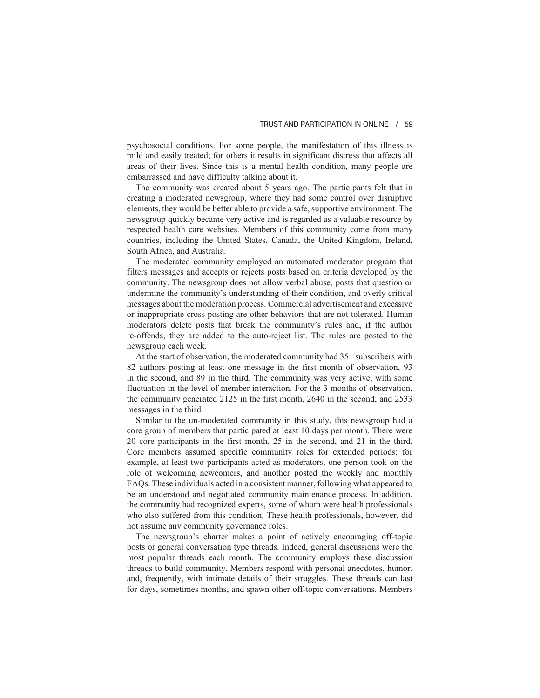psychosocial conditions. For some people, the manifestation of this illness is mild and easily treated; for others it results in significant distress that affects all areas of their lives. Since this is a mental health condition, many people are embarrassed and have difficulty talking about it.

The community was created about 5 years ago. The participants felt that in creating a moderated newsgroup, where they had some control over disruptive elements, they would be better able to provide a safe, supportive environment. The newsgroup quickly became very active and is regarded as a valuable resource by respected health care websites. Members of this community come from many countries, including the United States, Canada, the United Kingdom, Ireland, South Africa, and Australia.

The moderated community employed an automated moderator program that filters messages and accepts or rejects posts based on criteria developed by the community. The newsgroup does not allow verbal abuse, posts that question or undermine the community's understanding of their condition, and overly critical messages about the moderation process. Commercial advertisement and excessive or inappropriate cross posting are other behaviors that are not tolerated. Human moderators delete posts that break the community's rules and, if the author re-offends, they are added to the auto-reject list. The rules are posted to the newsgroup each week.

At the start of observation, the moderated community had 351 subscribers with 82 authors posting at least one message in the first month of observation, 93 in the second, and 89 in the third. The community was very active, with some fluctuation in the level of member interaction. For the 3 months of observation, the community generated 2125 in the first month, 2640 in the second, and 2533 messages in the third.

Similar to the un-moderated community in this study, this newsgroup had a core group of members that participated at least 10 days per month. There were 20 core participants in the first month, 25 in the second, and 21 in the third. Core members assumed specific community roles for extended periods; for example, at least two participants acted as moderators, one person took on the role of welcoming newcomers, and another posted the weekly and monthly FAQs. These individuals acted in a consistent manner, following what appeared to be an understood and negotiated community maintenance process. In addition, the community had recognized experts, some of whom were health professionals who also suffered from this condition. These health professionals, however, did not assume any community governance roles.

The newsgroup's charter makes a point of actively encouraging off-topic posts or general conversation type threads. Indeed, general discussions were the most popular threads each month. The community employs these discussion threads to build community. Members respond with personal anecdotes, humor, and, frequently, with intimate details of their struggles. These threads can last for days, sometimes months, and spawn other off-topic conversations. Members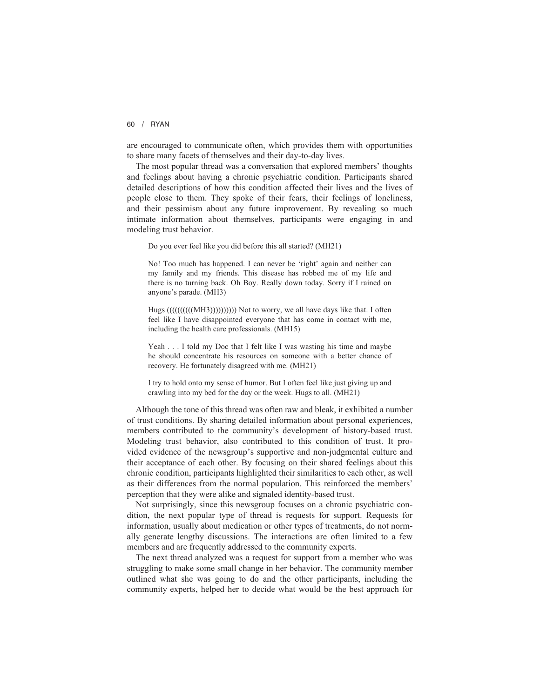are encouraged to communicate often, which provides them with opportunities to share many facets of themselves and their day-to-day lives.

The most popular thread was a conversation that explored members' thoughts and feelings about having a chronic psychiatric condition. Participants shared detailed descriptions of how this condition affected their lives and the lives of people close to them. They spoke of their fears, their feelings of loneliness, and their pessimism about any future improvement. By revealing so much intimate information about themselves, participants were engaging in and modeling trust behavior.

Do you ever feel like you did before this all started? (MH21)

No! Too much has happened. I can never be 'right' again and neither can my family and my friends. This disease has robbed me of my life and there is no turning back. Oh Boy. Really down today. Sorry if I rained on anyone's parade. (MH3)

Hugs (((((((((((MH3)))))))))))))) Not to worry, we all have days like that. I often feel like I have disappointed everyone that has come in contact with me, including the health care professionals. (MH15)

Yeah ...I told my Doc that I felt like I was wasting his time and maybe he should concentrate his resources on someone with a better chance of recovery. He fortunately disagreed with me. (MH21)

I try to hold onto my sense of humor. But I often feel like just giving up and crawling into my bed for the day or the week. Hugs to all. (MH21)

Although the tone of this thread was often raw and bleak, it exhibited a number of trust conditions. By sharing detailed information about personal experiences, members contributed to the community's development of history-based trust. Modeling trust behavior, also contributed to this condition of trust. It provided evidence of the newsgroup's supportive and non-judgmental culture and their acceptance of each other. By focusing on their shared feelings about this chronic condition, participants highlighted their similarities to each other, as well as their differences from the normal population. This reinforced the members' perception that they were alike and signaled identity-based trust.

Not surprisingly, since this newsgroup focuses on a chronic psychiatric condition, the next popular type of thread is requests for support. Requests for information, usually about medication or other types of treatments, do not normally generate lengthy discussions. The interactions are often limited to a few members and are frequently addressed to the community experts.

The next thread analyzed was a request for support from a member who was struggling to make some small change in her behavior. The community member outlined what she was going to do and the other participants, including the community experts, helped her to decide what would be the best approach for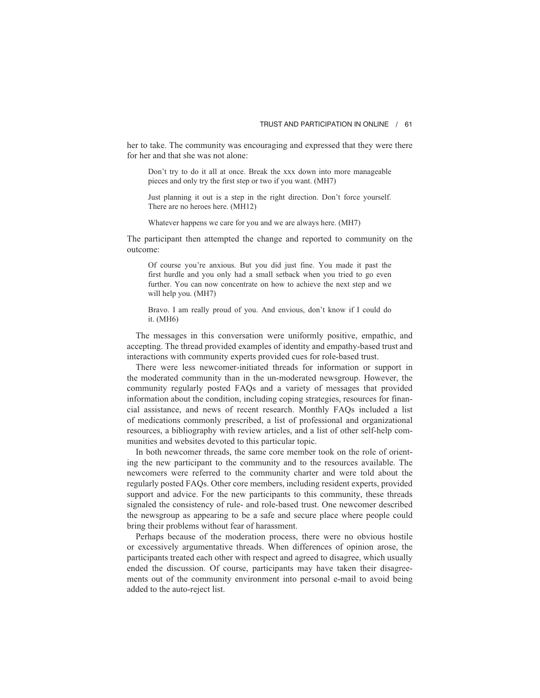her to take. The community was encouraging and expressed that they were there for her and that she was not alone:

Don't try to do it all at once. Break the xxx down into more manageable pieces and only try the first step or two if you want. (MH7)

Just planning it out is a step in the right direction. Don't force yourself. There are no heroes here. (MH12)

Whatever happens we care for you and we are always here. (MH7)

The participant then attempted the change and reported to community on the outcome:

Of course you're anxious. But you did just fine. You made it past the first hurdle and you only had a small setback when you tried to go even further. You can now concentrate on how to achieve the next step and we will help you. (MH7)

Bravo. I am really proud of you. And envious, don't know if I could do it. (MH6)

The messages in this conversation were uniformly positive, empathic, and accepting. The thread provided examples of identity and empathy-based trust and interactions with community experts provided cues for role-based trust.

There were less newcomer-initiated threads for information or support in the moderated community than in the un-moderated newsgroup. However, the community regularly posted FAQs and a variety of messages that provided information about the condition, including coping strategies, resources for financial assistance, and news of recent research. Monthly FAQs included a list of medications commonly prescribed, a list of professional and organizational resources, a bibliography with review articles, and a list of other self-help communities and websites devoted to this particular topic.

In both newcomer threads, the same core member took on the role of orienting the new participant to the community and to the resources available. The newcomers were referred to the community charter and were told about the regularly posted FAQs. Other core members, including resident experts, provided support and advice. For the new participants to this community, these threads signaled the consistency of rule- and role-based trust. One newcomer described the newsgroup as appearing to be a safe and secure place where people could bring their problems without fear of harassment.

Perhaps because of the moderation process, there were no obvious hostile or excessively argumentative threads. When differences of opinion arose, the participants treated each other with respect and agreed to disagree, which usually ended the discussion. Of course, participants may have taken their disagreements out of the community environment into personal e-mail to avoid being added to the auto-reject list.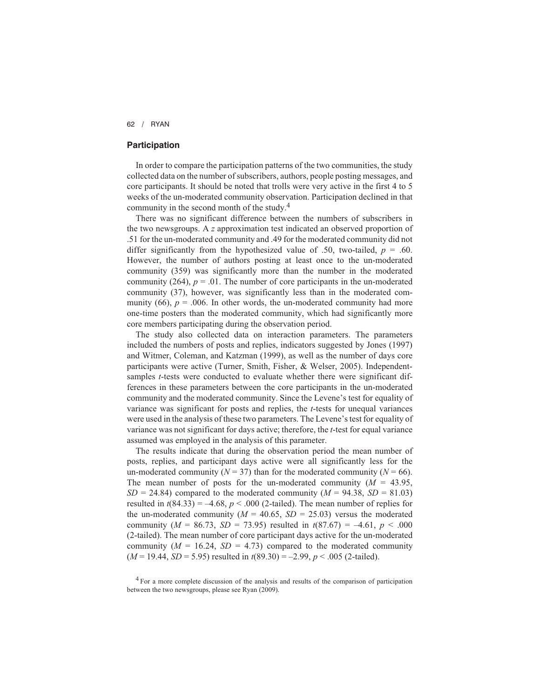## **Participation**

In order to compare the participation patterns of the two communities, the study collected data on the number of subscribers, authors, people posting messages, and core participants. It should be noted that trolls were very active in the first 4 to 5 weeks of the un-moderated community observation. Participation declined in that community in the second month of the study.4

There was no significant difference between the numbers of subscribers in the two newsgroups. A *z* approximation test indicated an observed proportion of .51 for the un-moderated community and .49 for the moderated community did not differ significantly from the hypothesized value of .50, two-tailed,  $p = .60$ . However, the number of authors posting at least once to the un-moderated community (359) was significantly more than the number in the moderated community (264),  $p = 0.01$ . The number of core participants in the un-moderated community (37), however, was significantly less than in the moderated community (66),  $p = .006$ . In other words, the un-moderated community had more one-time posters than the moderated community, which had significantly more core members participating during the observation period.

The study also collected data on interaction parameters. The parameters included the numbers of posts and replies, indicators suggested by Jones (1997) and Witmer, Coleman, and Katzman (1999), as well as the number of days core participants were active (Turner, Smith, Fisher, & Welser, 2005). Independentsamples *t*-tests were conducted to evaluate whether there were significant differences in these parameters between the core participants in the un-moderated community and the moderated community. Since the Levene's test for equality of variance was significant for posts and replies, the *t*-tests for unequal variances were used in the analysis of these two parameters. The Levene's test for equality of variance was not significant for days active; therefore, the *t*-test for equal variance assumed was employed in the analysis of this parameter.

The results indicate that during the observation period the mean number of posts, replies, and participant days active were all significantly less for the un-moderated community ( $N = 37$ ) than for the moderated community ( $N = 66$ ). The mean number of posts for the un-moderated community  $(M = 43.95,$  $SD = 24.84$  compared to the moderated community ( $M = 94.38$ ,  $SD = 81.03$ ) resulted in  $t(84.33) = -4.68$ ,  $p < .000$  (2-tailed). The mean number of replies for the un-moderated community ( $M = 40.65$ ,  $SD = 25.03$ ) versus the moderated community ( $M = 86.73$ ,  $SD = 73.95$ ) resulted in  $t(87.67) = -4.61$ ,  $p < .000$ (2-tailed). The mean number of core participant days active for the un-moderated community  $(M = 16.24, SD = 4.73)$  compared to the moderated community  $(M = 19.44, SD = 5.95)$  resulted in  $t(89.30) = -2.99, p < .005$  (2-tailed).

<sup>4</sup> For a more complete discussion of the analysis and results of the comparison of participation between the two newsgroups, please see Ryan (2009).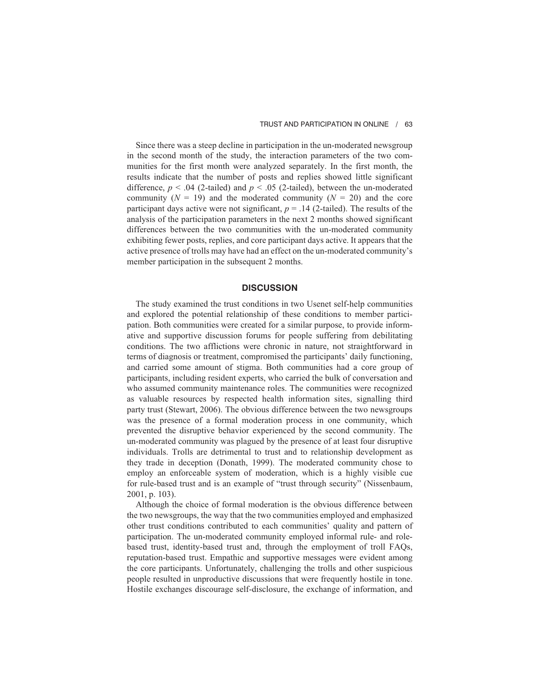Since there was a steep decline in participation in the un-moderated newsgroup in the second month of the study, the interaction parameters of the two communities for the first month were analyzed separately. In the first month, the results indicate that the number of posts and replies showed little significant difference,  $p < .04$  (2-tailed) and  $p < .05$  (2-tailed), between the un-moderated community  $(N = 19)$  and the moderated community  $(N = 20)$  and the core participant days active were not significant,  $p = .14$  (2-tailed). The results of the analysis of the participation parameters in the next 2 months showed significant differences between the two communities with the un-moderated community exhibiting fewer posts, replies, and core participant days active. It appears that the active presence of trolls may have had an effect on the un-moderated community's member participation in the subsequent 2 months.

#### **DISCUSSION**

The study examined the trust conditions in two Usenet self-help communities and explored the potential relationship of these conditions to member participation. Both communities were created for a similar purpose, to provide informative and supportive discussion forums for people suffering from debilitating conditions. The two afflictions were chronic in nature, not straightforward in terms of diagnosis or treatment, compromised the participants' daily functioning, and carried some amount of stigma. Both communities had a core group of participants, including resident experts, who carried the bulk of conversation and who assumed community maintenance roles. The communities were recognized as valuable resources by respected health information sites, signalling third party trust (Stewart, 2006). The obvious difference between the two newsgroups was the presence of a formal moderation process in one community, which prevented the disruptive behavior experienced by the second community. The un-moderated community was plagued by the presence of at least four disruptive individuals. Trolls are detrimental to trust and to relationship development as they trade in deception (Donath, 1999). The moderated community chose to employ an enforceable system of moderation, which is a highly visible cue for rule-based trust and is an example of "trust through security" (Nissenbaum, 2001, p. 103).

Although the choice of formal moderation is the obvious difference between the two newsgroups, the way that the two communities employed and emphasized other trust conditions contributed to each communities' quality and pattern of participation. The un-moderated community employed informal rule- and rolebased trust, identity-based trust and, through the employment of troll FAQs, reputation-based trust. Empathic and supportive messages were evident among the core participants. Unfortunately, challenging the trolls and other suspicious people resulted in unproductive discussions that were frequently hostile in tone. Hostile exchanges discourage self-disclosure, the exchange of information, and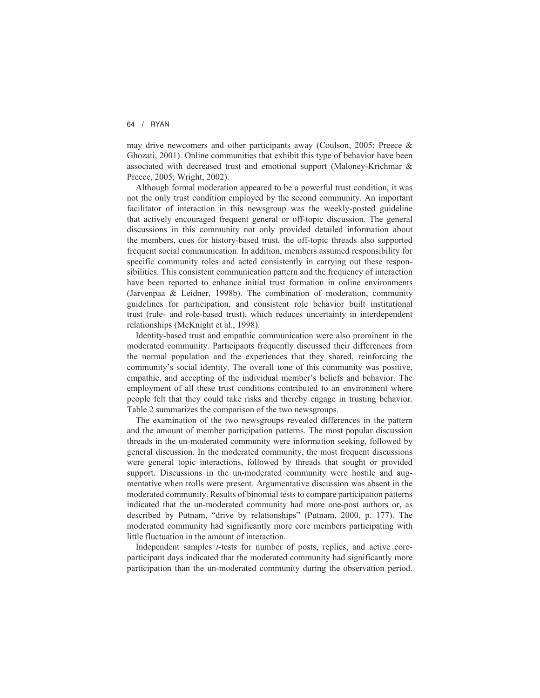may drive newcomers and other participants away (Coulson, 2005; Preece & Ghozati, 2001). Online communities that exhibit this type of behavior have been associated with decreased trust and emotional support (Maloney-Krichmar & Preece, 2005; Wright, 2002).

Although formal moderation appeared to be a powerful trust condition, it was not the only trust condition employed by the second community. An important facilitator of interaction in this newsgroup was the weekly-posted guideline that actively encouraged frequent general or off-topic discussion. The general discussions in this community not only provided detailed information about the members, cues for history-based trust, the off-topic threads also supported frequent social communication. In addition, members assumed responsibility for specific community roles and acted consistently in carrying out these responsibilities. This consistent communication pattern and the frequency of interaction have been reported to enhance initial trust formation in online environments (Jarvenpaa & Leidner, 1998b). The combination of moderation, community guidelines for participation, and consistent role behavior built institutional trust (rule- and role-based trust), which reduces uncertainty in interdependent relationships (McKnight et al., 1998).

Identity-based trust and empathic communication were also prominent in the moderated community. Participants frequently discussed their differences from the normal population and the experiences that they shared, reinforcing the community's social identity. The overall tone of this community was positive, empathic, and accepting of the individual member's beliefs and behavior. The employment of all these trust conditions contributed to an environment where people felt that they could take risks and thereby engage in trusting behavior. Table 2 summarizes the comparison of the two newsgroups.

The examination of the two newsgroups revealed differences in the pattern and the amount of member participation patterns. The most popular discussion threads in the un-moderated community were information seeking, followed by general discussion. In the moderated community, the most frequent discussions were general topic interactions, followed by threads that sought or provided support. Discussions in the un-moderated community were hostile and augmentative when trolls were present. Argumentative discussion was absent in the moderated community. Results of binomial tests to compare participation patterns indicated that the un-moderated community had more one-post authors or, as described by Putnam, "drive by relationships" (Putnam, 2000, p. 177). The moderated community had significantly more core members participating with little fluctuation in the amount of interaction.

Independent samples *t*-tests for number of posts, replies, and active coreparticipant days indicated that the moderated community had significantly more participation than the un-moderated community during the observation period.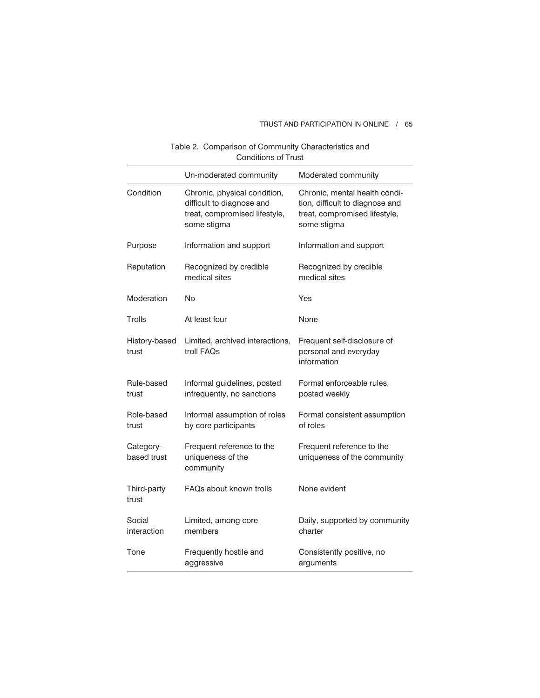# TRUST AND PARTICIPATION IN ONLINE / 65

|                          | וט טווטווט                                                                                                |                                                                                                                  |  |  |
|--------------------------|-----------------------------------------------------------------------------------------------------------|------------------------------------------------------------------------------------------------------------------|--|--|
|                          | Un-moderated community                                                                                    | Moderated community                                                                                              |  |  |
| Condition                | Chronic, physical condition,<br>difficult to diagnose and<br>treat, compromised lifestyle,<br>some stigma | Chronic, mental health condi-<br>tion, difficult to diagnose and<br>treat, compromised lifestyle,<br>some stigma |  |  |
| Purpose                  | Information and support                                                                                   | Information and support                                                                                          |  |  |
| Reputation               | Recognized by credible<br>medical sites                                                                   | Recognized by credible<br>medical sites                                                                          |  |  |
| Moderation               | No                                                                                                        | Yes                                                                                                              |  |  |
| Trolls                   | At least four                                                                                             | None                                                                                                             |  |  |
| History-based<br>trust   | Limited, archived interactions,<br>troll FAQs                                                             | Frequent self-disclosure of<br>personal and everyday<br>information                                              |  |  |
| Rule-based<br>trust      | Informal guidelines, posted<br>infrequently, no sanctions                                                 | Formal enforceable rules,<br>posted weekly                                                                       |  |  |
| Role-based<br>trust      | Informal assumption of roles<br>by core participants                                                      | Formal consistent assumption<br>of roles                                                                         |  |  |
| Category-<br>based trust | Frequent reference to the<br>uniqueness of the<br>community                                               | Frequent reference to the<br>uniqueness of the community                                                         |  |  |
| Third-party<br>trust     | FAQs about known trolls                                                                                   | None evident                                                                                                     |  |  |
| Social<br>interaction    | Limited, among core<br>members                                                                            | Daily, supported by community<br>charter                                                                         |  |  |
| Tone                     | Frequently hostile and<br>aggressive                                                                      | Consistently positive, no<br>arguments                                                                           |  |  |

Table 2. Comparison of Community Characteristics and Conditions of Trust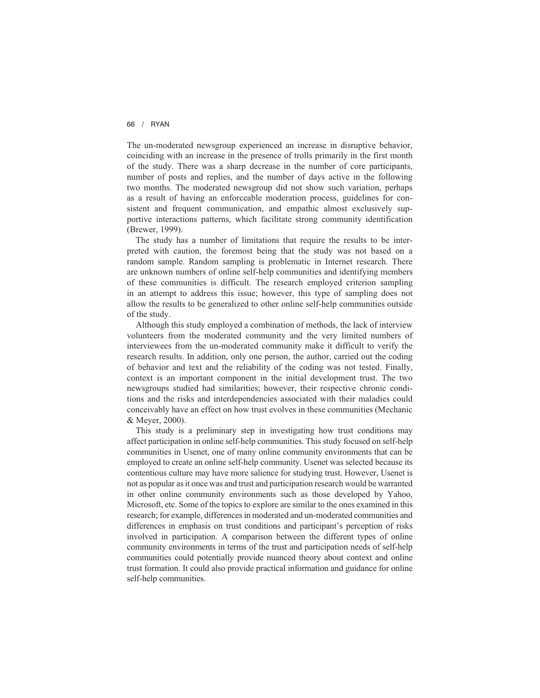The un-moderated newsgroup experienced an increase in disruptive behavior, coinciding with an increase in the presence of trolls primarily in the first month of the study. There was a sharp decrease in the number of core participants, number of posts and replies, and the number of days active in the following two months. The moderated newsgroup did not show such variation, perhaps as a result of having an enforceable moderation process, guidelines for consistent and frequent communication, and empathic almost exclusively supportive interactions patterns, which facilitate strong community identification (Brewer, 1999).

The study has a number of limitations that require the results to be interpreted with caution, the foremost being that the study was not based on a random sample. Random sampling is problematic in Internet research. There are unknown numbers of online self-help communities and identifying members of these communities is difficult. The research employed criterion sampling in an attempt to address this issue; however, this type of sampling does not allow the results to be generalized to other online self-help communities outside of the study.

Although this study employed a combination of methods, the lack of interview volunteers from the moderated community and the very limited numbers of interviewees from the un-moderated community make it difficult to verify the research results. In addition, only one person, the author, carried out the coding of behavior and text and the reliability of the coding was not tested. Finally, context is an important component in the initial development trust. The two newsgroups studied had similarities; however, their respective chronic conditions and the risks and interdependencies associated with their maladies could conceivably have an effect on how trust evolves in these communities (Mechanic & Meyer, 2000).

This study is a preliminary step in investigating how trust conditions may affect participation in online self-help communities. This study focused on self-help communities in Usenet, one of many online community environments that can be employed to create an online self-help community. Usenet was selected because its contentious culture may have more salience for studying trust. However, Usenet is not as popular as it once was and trust and participation research would be warranted in other online community environments such as those developed by Yahoo, Microsoft, etc. Some of the topics to explore are similar to the ones examined in this research; for example, differences in moderated and un-moderated communities and differences in emphasis on trust conditions and participant's perception of risks involved in participation. A comparison between the different types of online community environments in terms of the trust and participation needs of self-help communities could potentially provide nuanced theory about context and online trust formation. It could also provide practical information and guidance for online self-help communities.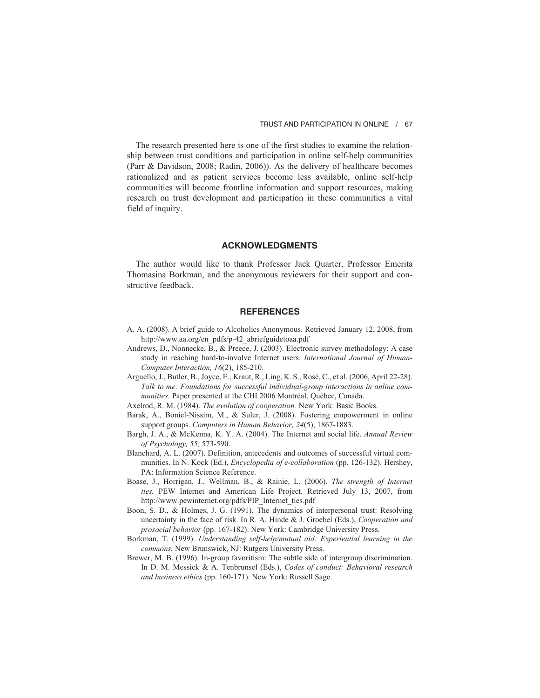The research presented here is one of the first studies to examine the relationship between trust conditions and participation in online self-help communities (Parr & Davidson, 2008; Radin, 2006)). As the delivery of healthcare becomes rationalized and as patient services become less available, online self-help communities will become frontline information and support resources, making research on trust development and participation in these communities a vital field of inquiry.

### **ACKNOWLEDGMENTS**

The author would like to thank Professor Jack Quarter, Professor Emerita Thomasina Borkman, and the anonymous reviewers for their support and constructive feedback.

#### **REFERENCES**

- A. A. (2008). A brief guide to Alcoholics Anonymous. Retrieved January 12, 2008, from http://www.aa.org/en\_pdfs/p-42\_abriefguidetoaa.pdf
- Andrews, D., Nonnecke, B., & Preece, J. (2003). Electronic survey methodology: A case study in reaching hard-to-involve Internet users. *International Journal of Human-Computer Interaction, 16*(2), 185-210.
- Arguello, J., Butler, B., Joyce, E., Kraut, R., Ling, K. S., Rosé, C., et al. (2006, April 22-28). *Talk to me: Foundations for successful individual-group interactions in online communities.* Paper presented at the CHI 2006 Montréal, Québec, Canada.
- Axelrod, R. M. (1984). *The evolution of cooperation.* New York: Basic Books.
- Barak, A., Boniel-Nissim, M., & Suler, J. (2008). Fostering empowerment in online support groups. *Computers in Human Behavior, 24*(5), 1867-1883.
- Bargh, J. A., & McKenna, K. Y. A. (2004). The Internet and social life. *Annual Review of Psychology, 55,* 573-590.
- Blanchard, A. L. (2007). Definition, antecedents and outcomes of successful virtual communities. In N. Kock (Ed.), *Encyclopedia of e-collaboration* (pp. 126-132). Hershey, PA: Information Science Reference.
- Boase, J., Horrigan, J., Wellman, B., & Rainie, L. (2006). *The strength of Internet ties.* PEW Internet and American Life Project. Retrieved July 13, 2007, from http://www.pewinternet.org/pdfs/PIP\_Internet\_ties.pdf
- Boon, S. D., & Holmes, J. G. (1991). The dynamics of interpersonal trust: Resolving uncertainty in the face of risk. In R. A. Hinde & J. Groebel (Eds.), *Cooperation and prosocial behavior* (pp. 167-182). New York: Cambridge University Press.
- Borkman, T. (1999). *Understanding self-help/mutual aid: Experiential learning in the commons.* New Brunswick, NJ: Rutgers University Press.
- Brewer, M. B. (1996). In-group favoritism: The subtle side of intergroup discrimination. In D. M. Messick & A. Tenbrunsel (Eds.), *Codes of conduct: Behavioral research and business ethics* (pp. 160-171). New York: Russell Sage.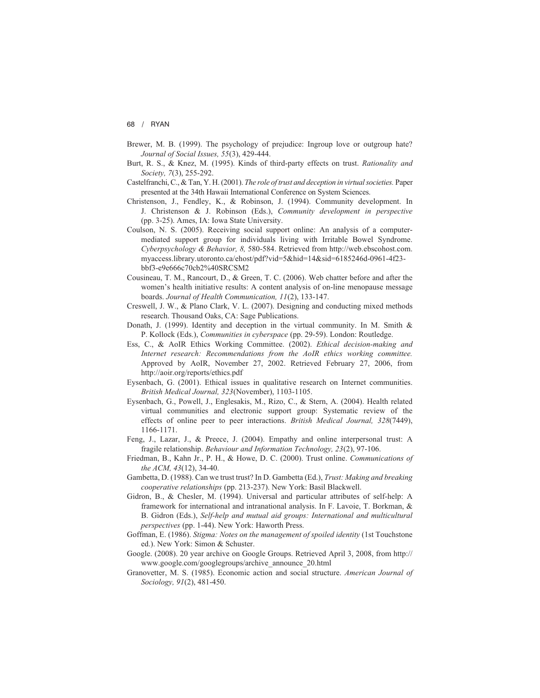- Brewer, M. B. (1999). The psychology of prejudice: Ingroup love or outgroup hate? *Journal of Social Issues, 55*(3), 429-444.
- Burt, R. S., & Knez, M. (1995). Kinds of third-party effects on trust. *Rationality and Society, 7*(3), 255-292.
- Castelfranchi, C., & Tan, Y. H. (2001). *The role of trust and deception in virtual societies.* Paper presented at the 34th Hawaii International Conference on System Sciences.
- Christenson, J., Fendley, K., & Robinson, J. (1994). Community development. In J. Christenson & J. Robinson (Eds.), *Community development in perspective* (pp. 3-25). Ames, IA: Iowa State University.
- Coulson, N. S. (2005). Receiving social support online: An analysis of a computermediated support group for individuals living with Irritable Bowel Syndrome. *Cyberpsychology & Behavior, 8,* 580-584. Retrieved from http://web.ebscohost.com. myaccess.library.utoronto.ca/ehost/pdf?vid=5&hid=14&sid=6185246d-0961-4f23 bbf3-e9e666c70cb2%40SRCSM2
- Cousineau, T. M., Rancourt, D., & Green, T. C. (2006). Web chatter before and after the women's health initiative results: A content analysis of on-line menopause message boards. *Journal of Health Communication, 11*(2), 133-147.
- Creswell, J. W., & Plano Clark, V. L. (2007). Designing and conducting mixed methods research. Thousand Oaks, CA: Sage Publications.
- Donath, J. (1999). Identity and deception in the virtual community. In M. Smith & P. Kollock (Eds.), *Communities in cyberspace* (pp. 29-59). London: Routledge.
- Ess, C., & AoIR Ethics Working Committee. (2002). *Ethical decision-making and Internet research: Recommendations from the AoIR ethics working committee.* Approved by AoIR, November 27, 2002. Retrieved February 27, 2006, from http://aoir.org/reports/ethics.pdf
- Eysenbach, G. (2001). Ethical issues in qualitative research on Internet communities. *British Medical Journal, 323*(November), 1103-1105.
- Eysenbach, G., Powell, J., Englesakis, M., Rizo, C., & Stern, A. (2004). Health related virtual communities and electronic support group: Systematic review of the effects of online peer to peer interactions. *British Medical Journal, 328*(7449), 1166-1171.
- Feng, J., Lazar, J., & Preece, J. (2004). Empathy and online interpersonal trust: A fragile relationship. *Behaviour and Information Technology, 23*(2), 97-106.
- Friedman, B., Kahn Jr., P. H., & Howe, D. C. (2000). Trust online. *Communications of the ACM, 43*(12), 34-40.
- Gambetta, D. (1988). Can we trust trust? In D. Gambetta (Ed.), *Trust: Making and breaking cooperative relationships* (pp. 213-237). New York: Basil Blackwell.
- Gidron, B., & Chesler, M. (1994). Universal and particular attributes of self-help: A framework for international and intranational analysis. In F. Lavoie, T. Borkman, & B. Gidron (Eds.), *Self-help and mutual aid groups: International and multicultural perspectives* (pp. 1-44). New York: Haworth Press.
- Goffman, E. (1986). *Stigma: Notes on the management of spoiled identity* (1st Touchstone ed.). New York: Simon & Schuster.
- Google. (2008). 20 year archive on Google Groups. Retrieved April 3, 2008, from http:// www.google.com/googlegroups/archive\_announce\_20.html
- Granovetter, M. S. (1985). Economic action and social structure. *American Journal of Sociology, 91*(2), 481-450.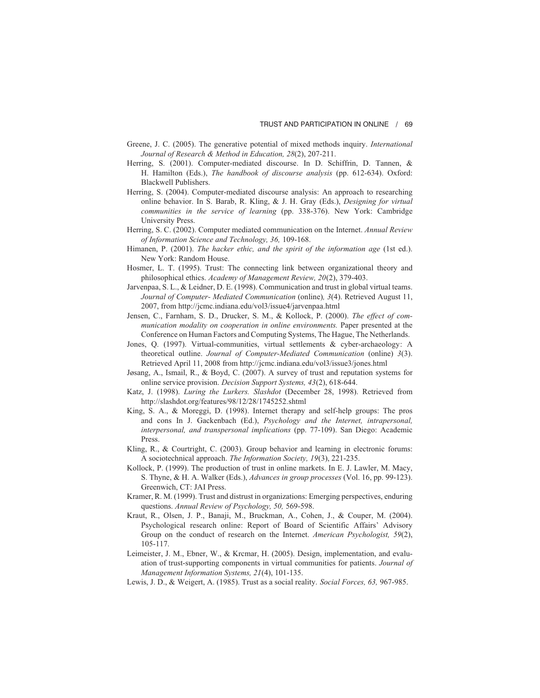- Greene, J. C. (2005). The generative potential of mixed methods inquiry. *International Journal of Research & Method in Education, 28*(2), 207-211.
- Herring, S. (2001). Computer-mediated discourse. In D. Schiffrin, D. Tannen, & H. Hamilton (Eds.), *The handbook of discourse analysis* (pp. 612-634). Oxford: Blackwell Publishers.
- Herring, S. (2004). Computer-mediated discourse analysis: An approach to researching online behavior. In S. Barab, R. Kling, & J. H. Gray (Eds.), *Designing for virtual communities in the service of learning* (pp. 338-376). New York: Cambridge University Press.
- Herring, S. C. (2002). Computer mediated communication on the Internet. *Annual Review of Information Science and Technology, 36,* 109-168.
- Himanen, P. (2001). *The hacker ethic, and the spirit of the information age* (1st ed.). New York: Random House.
- Hosmer, L. T. (1995). Trust: The connecting link between organizational theory and philosophical ethics. *Academy of Management Review, 20*(2), 379-403.
- Jarvenpaa, S. L., & Leidner, D. E. (1998). Communication and trust in global virtual teams. *Journal of Computer- Mediated Communication* (online)*, 3*(4). Retrieved August 11, 2007, from http://jcmc.indiana.edu/vol3/issue4/jarvenpaa.html
- Jensen, C., Farnham, S. D., Drucker, S. M., & Kollock, P. (2000). *The effect of communication modality on cooperation in online environments.* Paper presented at the Conference on Human Factors and Computing Systems, The Hague, The Netherlands.
- Jones, Q. (1997). Virtual-communities, virtual settlements & cyber-archaeology: A theoretical outline. *Journal of Computer-Mediated Communication* (online) *3*(3). Retrieved April 11, 2008 from http://jcmc.indiana.edu/vol3/issue3/jones.html
- Jøsang, A., Ismail, R., & Boyd, C. (2007). A survey of trust and reputation systems for online service provision. *Decision Support Systems, 43*(2), 618-644.
- Katz, J. (1998). *Luring the Lurkers. Slashdot* (December 28, 1998). Retrieved from http://slashdot.org/features/98/12/28/1745252.shtml
- King, S. A., & Moreggi, D. (1998). Internet therapy and self-help groups: The pros and cons In J. Gackenbach (Ed.), *Psychology and the Internet, intrapersonal, interpersonal, and transpersonal implications* (pp. 77-109). San Diego: Academic Press.
- Kling, R., & Courtright, C. (2003). Group behavior and learning in electronic forums: A sociotechnical approach. *The Information Society, 19*(3), 221-235.
- Kollock, P. (1999). The production of trust in online markets. In E. J. Lawler, M. Macy, S. Thyne, & H. A. Walker (Eds.), *Advances in group processes* (Vol. 16, pp. 99-123). Greenwich, CT: JAI Press.
- Kramer, R. M. (1999). Trust and distrust in organizations: Emerging perspectives, enduring questions. *Annual Review of Psychology, 50,* 569-598.
- Kraut, R., Olsen, J. P., Banaji, M., Bruckman, A., Cohen, J., & Couper, M. (2004). Psychological research online: Report of Board of Scientific Affairs' Advisory Group on the conduct of research on the Internet. *American Psychologist, 59*(2), 105-117.
- Leimeister, J. M., Ebner, W., & Krcmar, H. (2005). Design, implementation, and evaluation of trust-supporting components in virtual communities for patients. *Journal of Management Information Systems, 21*(4), 101-135.
- Lewis, J. D., & Weigert, A. (1985). Trust as a social reality. *Social Forces, 63,* 967-985.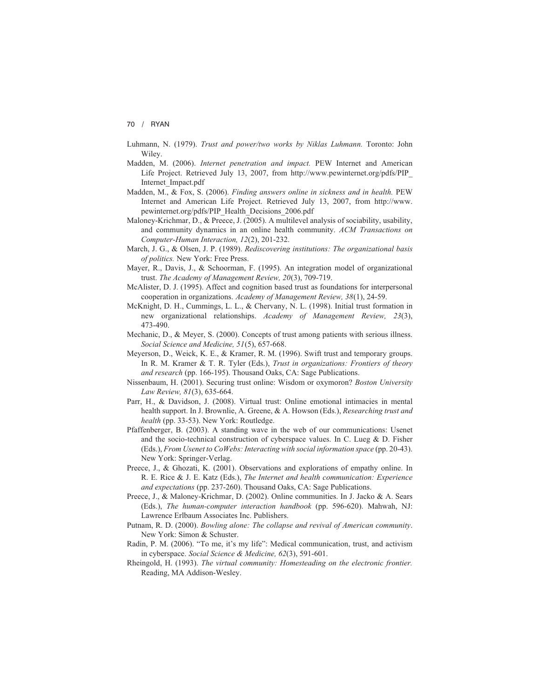- Luhmann, N. (1979). *Trust and power/two works by Niklas Luhmann.* Toronto: John Wiley.
- Madden, M. (2006). *Internet penetration and impact.* PEW Internet and American Life Project. Retrieved July 13, 2007, from http://www.pewinternet.org/pdfs/PIP\_ Internet\_Impact.pdf
- Madden, M., & Fox, S. (2006). *Finding answers online in sickness and in health.* PEW Internet and American Life Project. Retrieved July 13, 2007, from http://www. pewinternet.org/pdfs/PIP\_Health\_Decisions\_2006.pdf
- Maloney-Krichmar, D., & Preece, J. (2005). A multilevel analysis of sociability, usability, and community dynamics in an online health community. *ACM Transactions on Computer-Human Interaction, 12*(2), 201-232.
- March, J. G., & Olsen, J. P. (1989). *Rediscovering institutions: The organizational basis of politics.* New York: Free Press.
- Mayer, R., Davis, J., & Schoorman, F. (1995). An integration model of organizational trust. *The Academy of Management Review, 20*(3), 709-719.
- McAlister, D. J. (1995). Affect and cognition based trust as foundations for interpersonal cooperation in organizations. *Academy of Management Review, 38*(1), 24-59.
- McKnight, D. H., Cummings, L. L., & Chervany, N. L. (1998). Initial trust formation in new organizational relationships. *Academy of Management Review, 23*(3), 473-490.
- Mechanic, D., & Meyer, S. (2000). Concepts of trust among patients with serious illness. *Social Science and Medicine, 51*(5), 657-668.
- Meyerson, D., Weick, K. E., & Kramer, R. M. (1996). Swift trust and temporary groups. In R. M. Kramer & T. R. Tyler (Eds.), *Trust in organizations: Frontiers of theory and research* (pp. 166-195). Thousand Oaks, CA: Sage Publications.
- Nissenbaum, H. (2001). Securing trust online: Wisdom or oxymoron? *Boston University Law Review, 81*(3), 635-664.
- Parr, H., & Davidson, J. (2008). Virtual trust: Online emotional intimacies in mental health support. In J. Brownlie, A. Greene, & A. Howson (Eds.), *Researching trust and health* (pp. 33-53). New York: Routledge.
- Pfaffenberger, B. (2003). A standing wave in the web of our communications: Usenet and the socio-technical construction of cyberspace values. In C. Lueg  $\&$  D. Fisher (Eds.), *From Usenet to CoWebs: Interacting with social information space* (pp. 20-43). New York: Springer-Verlag.
- Preece, J., & Ghozati, K. (2001). Observations and explorations of empathy online. In R. E. Rice & J. E. Katz (Eds.), *The Internet and health communication: Experience and expectations* (pp. 237-260). Thousand Oaks, CA: Sage Publications.
- Preece, J., & Maloney-Krichmar, D. (2002). Online communities. In J. Jacko & A. Sears (Eds.), *The human-computer interaction handbook* (pp. 596-620). Mahwah, NJ: Lawrence Erlbaum Associates Inc. Publishers.
- Putnam, R. D. (2000). *Bowling alone: The collapse and revival of American community*. New York: Simon & Schuster.
- Radin, P. M. (2006). "To me, it's my life": Medical communication, trust, and activism in cyberspace. *Social Science & Medicine, 62*(3), 591-601.
- Rheingold, H. (1993). *The virtual community: Homesteading on the electronic frontier.* Reading, MA Addison-Wesley.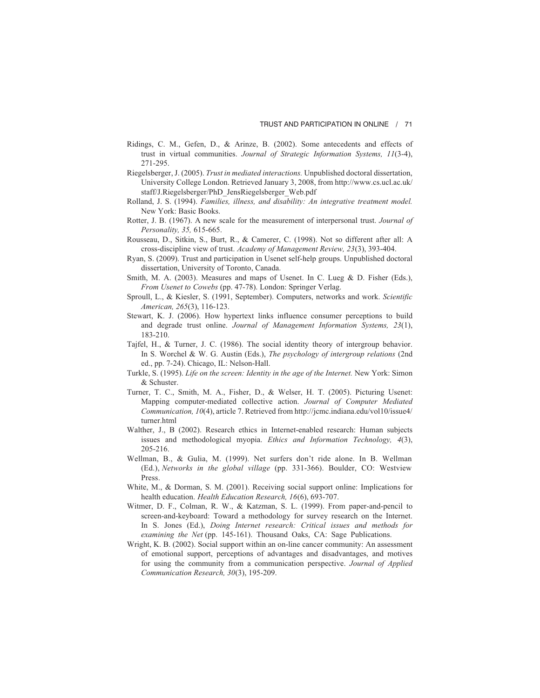- Ridings, C. M., Gefen, D., & Arinze, B. (2002). Some antecedents and effects of trust in virtual communities. *Journal of Strategic Information Systems, 11*(3-4), 271-295.
- Riegelsberger, J. (2005). *Trust in mediated interactions.* Unpublished doctoral dissertation, University College London. Retrieved January 3, 2008, from http://www.cs.ucl.ac.uk/ staff/J.Riegelsberger/PhD\_JensRiegelsberger\_Web.pdf
- Rolland, J. S. (1994). *Families, illness, and disability: An integrative treatment model.* New York: Basic Books.
- Rotter, J. B. (1967). A new scale for the measurement of interpersonal trust. *Journal of Personality, 35,* 615-665.
- Rousseau, D., Sitkin, S., Burt, R., & Camerer, C. (1998). Not so different after all: A cross-discipline view of trust. *Academy of Management Review, 23*(3), 393-404.
- Ryan, S. (2009). Trust and participation in Usenet self-help groups. Unpublished doctoral dissertation, University of Toronto, Canada.
- Smith, M. A. (2003). Measures and maps of Usenet. In C. Lueg & D. Fisher (Eds.), *From Usenet to Cowebs* (pp. 47-78). London: Springer Verlag.
- Sproull, L., & Kiesler, S. (1991, September). Computers, networks and work. *Scientific American, 265*(3), 116-123.
- Stewart, K. J. (2006). How hypertext links influence consumer perceptions to build and degrade trust online. *Journal of Management Information Systems, 23*(1), 183-210.
- Tajfel, H., & Turner, J. C. (1986). The social identity theory of intergroup behavior. In S. Worchel & W. G. Austin (Eds.), *The psychology of intergroup relations* (2nd ed., pp. 7-24). Chicago, IL: Nelson-Hall.
- Turkle, S. (1995). *Life on the screen: Identity in the age of the Internet.* New York: Simon & Schuster.
- Turner, T. C., Smith, M. A., Fisher, D., & Welser, H. T. (2005). Picturing Usenet: Mapping computer-mediated collective action. *Journal of Computer Mediated Communication, 10*(4), article 7. Retrieved from http://jcmc.indiana.edu/vol10/issue4/ turner.html
- Walther, J., B (2002). Research ethics in Internet-enabled research: Human subjects issues and methodological myopia. *Ethics and Information Technology, 4*(3), 205-216.
- Wellman, B., & Gulia, M. (1999). Net surfers don't ride alone. In B. Wellman (Ed.), *Networks in the global village* (pp. 331-366). Boulder, CO: Westview Press.
- White, M., & Dorman, S. M. (2001). Receiving social support online: Implications for health education. *Health Education Research, 16*(6), 693-707.
- Witmer, D. F., Colman, R. W., & Katzman, S. L. (1999). From paper-and-pencil to screen-and-keyboard: Toward a methodology for survey research on the Internet. In S. Jones (Ed.), *Doing Internet research: Critical issues and methods for examining the Net* (pp. 145-161). Thousand Oaks, CA: Sage Publications.
- Wright, K. B. (2002). Social support within an on-line cancer community: An assessment of emotional support, perceptions of advantages and disadvantages, and motives for using the community from a communication perspective. *Journal of Applied Communication Research, 30*(3), 195-209.